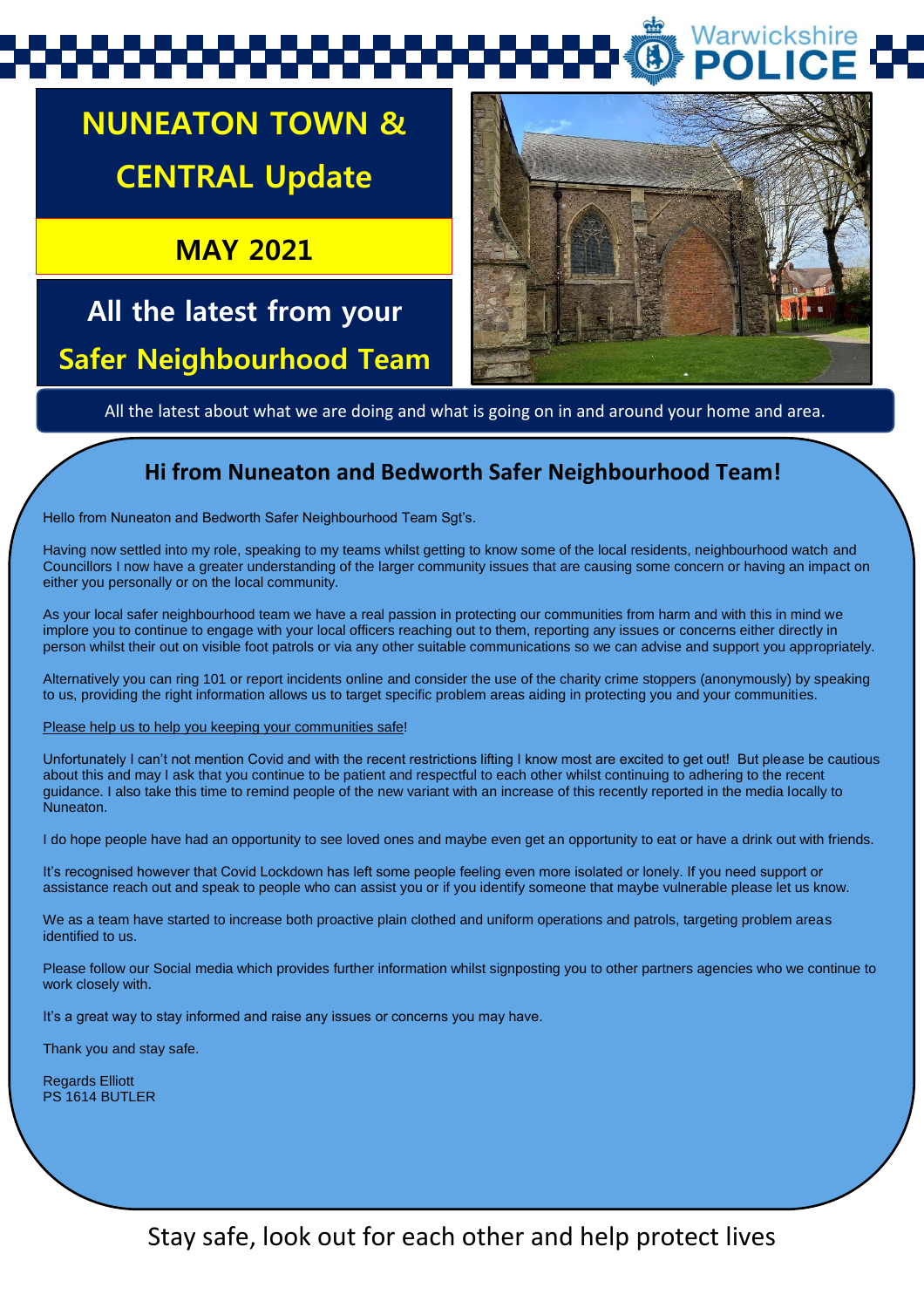# Warwickshire

## **NUNEATON TOWN & CENTRAL Update**

**MAY 2021**

## **All the latest from your Safer Neighbourhood Team**



All the latest about what we are doing and what is going on in and around your home and area.

### **Hi from Nuneaton and Bedworth Safer Neighbourhood Team!**

Hello from Nuneaton and Bedworth Safer Neighbourhood Team Sgt's.

Having now settled into my role, speaking to my teams whilst getting to know some of the local residents, neighbourhood watch and Councillors I now have a greater understanding of the larger community issues that are causing some concern or having an impact on either you personally or on the local community.

As your local safer neighbourhood team we have a real passion in protecting our communities from harm and with this in mind we implore you to continue to engage with your local officers reaching out to them, reporting any issues or concerns either directly in person whilst their out on visible foot patrols or via any other suitable communications so we can advise and support you appropriately.

Alternatively you can ring 101 or report incidents online and consider the use of the charity crime stoppers (anonymously) by speaking to us, providing the right information allows us to target specific problem areas aiding in protecting you and your communities.

Please help us to help you keeping your communities safe!

Unfortunately I can't not mention Covid and with the recent restrictions lifting I know most are excited to get out! But please be cautious about this and may I ask that you continue to be patient and respectful to each other whilst continuing to adhering to the recent guidance. I also take this time to remind people of the new variant with an increase of this recently reported in the media locally to Nuneaton.

I do hope people have had an opportunity to see loved ones and maybe even get an opportunity to eat or have a drink out with friends.

It's recognised however that Covid Lockdown has left some people feeling even more isolated or lonely. If you need support or assistance reach out and speak to people who can assist you or if you identify someone that maybe vulnerable please let us know.

We as a team have started to increase both proactive plain clothed and uniform operations and patrols, targeting problem areas identified to us.

Please follow our Social media which provides further information whilst signposting you to other partners agencies who we continue to work closely with.

It's a great way to stay informed and raise any issues or concerns you may have.

Thank you and stay safe.

Regards Elliott PS 1614 BUTLER

Stay safe, look out for each other and help protect lives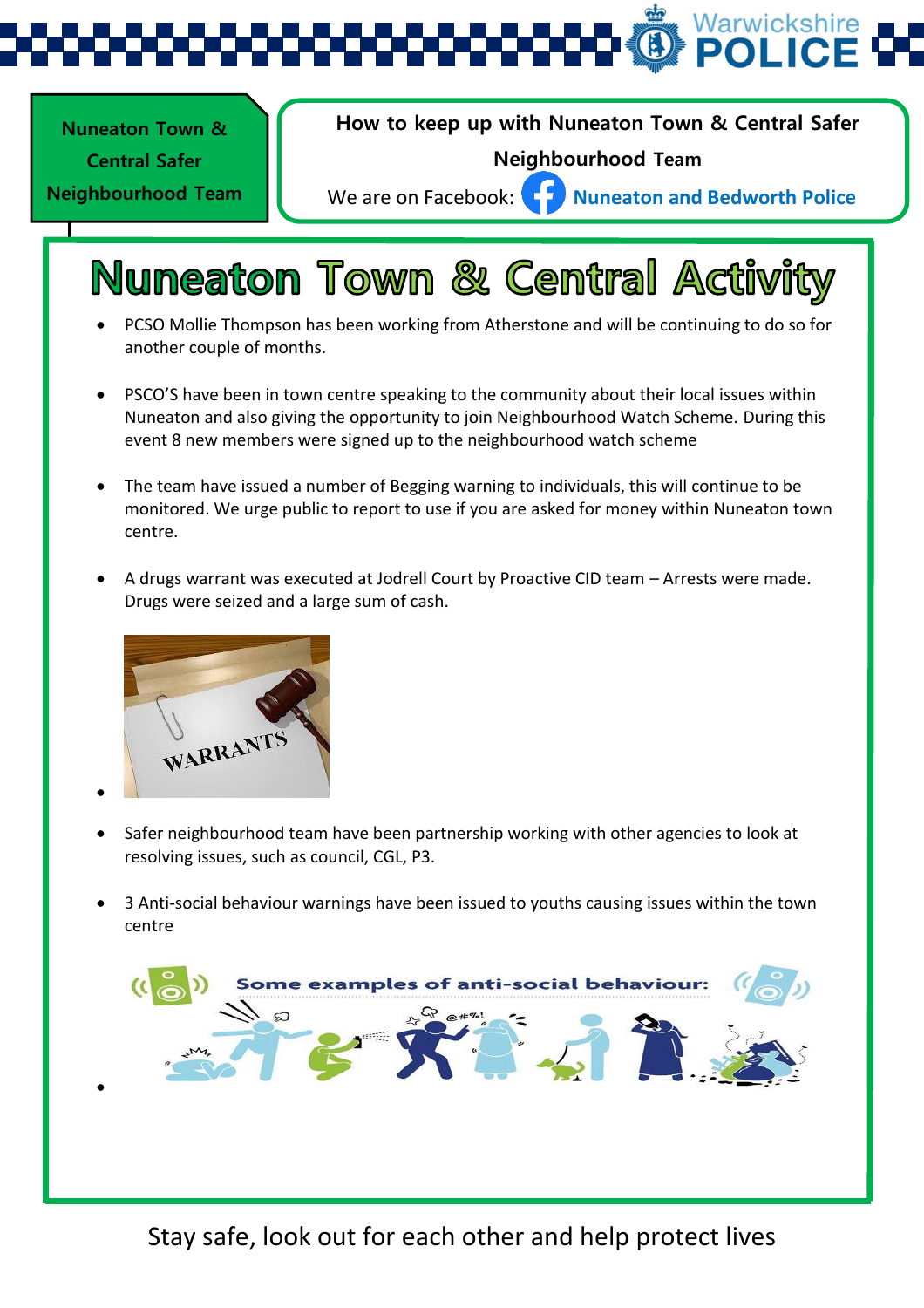Warwickshire

**Nuneaton Town &** 

1 **Neighbourhood Team Central Safer** 

**(SNT) Update** 

**How to keep up with Nuneaton Town & Central Safer** 

#### **Neighbourhood Team**

We are on Facebook: **Nuneaton and Bedworth Police** 

## **Nuneaton Town & Central Activity**

- PCSO Mollie Thompson has been working from Atherstone and will be continuing to do so for another couple of months.
- PSCO'S have been in town centre speaking to the community about their local issues within Nuneaton and also giving the opportunity to join Neighbourhood Watch Scheme. During this event 8 new members were signed up to the neighbourhood watch scheme
- The team have issued a number of Begging warning to individuals, this will continue to be monitored. We urge public to report to use if you are asked for money within Nuneaton town centre.
- A drugs warrant was executed at Jodrell Court by Proactive CID team Arrests were made. Drugs were seized and a large sum of cash.



 $\bullet$ 

- Safer neighbourhood team have been partnership working with other agencies to look at resolving issues, such as council, CGL, P3.
- 3 Anti-social behaviour warnings have been issued to youths causing issues within the town centre



Stay safe, look out for each other and help protect lives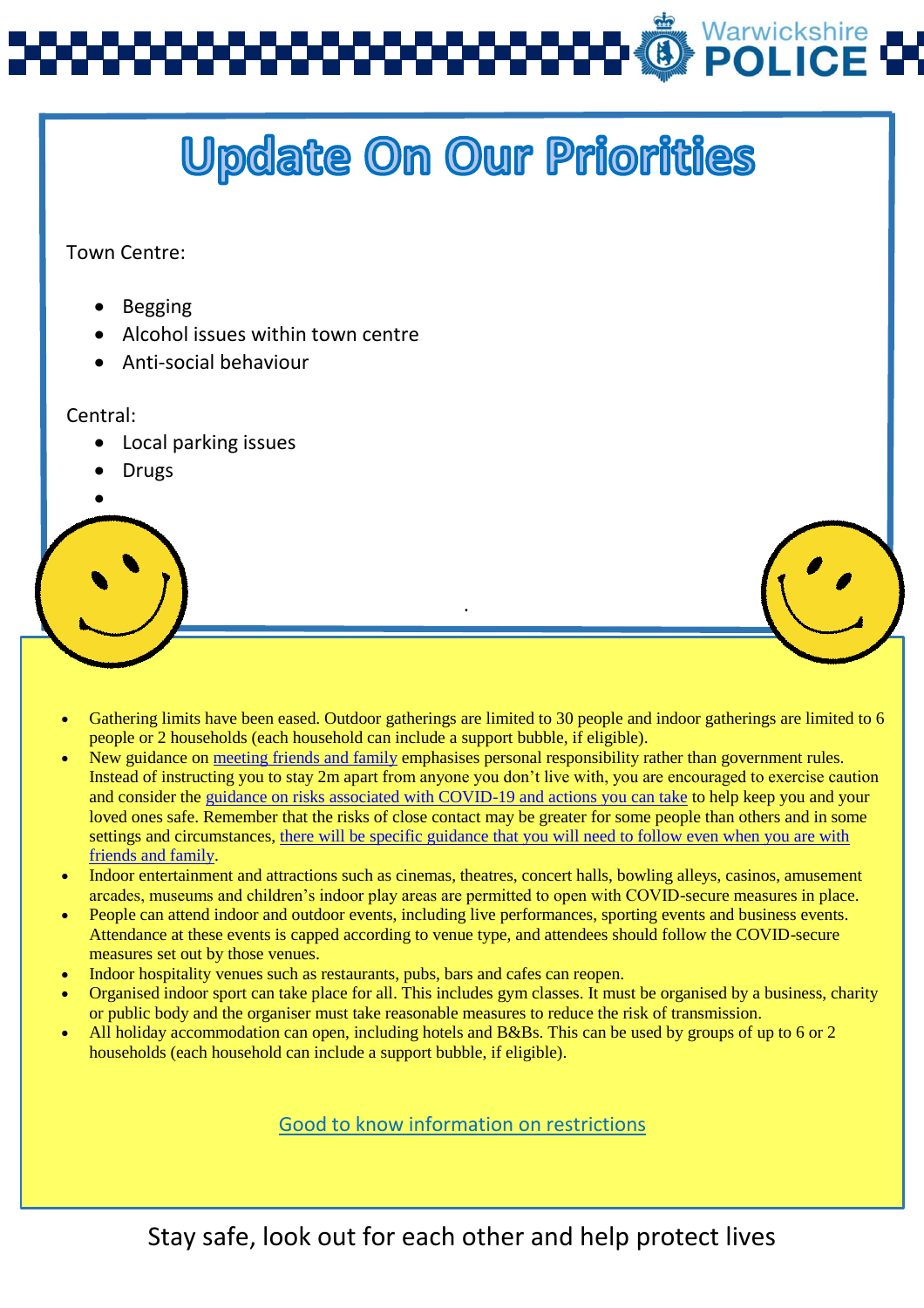

# **Update On Our Priorities**

Town Centre:

- Begging
- Alcohol issues within town centre
- Anti-social behaviour

#### Central:

- Local parking issues
- Drugs
- $\bullet$

 Gathering limits have been eased. Outdoor gatherings are limited to 30 people and indoor gatherings are limited to 6 people or 2 households (each household can include a support bubble, if eligible).

.

- New guidance on [meeting friends and family](https://www.gov.uk/guidance/meeting-friends-and-family-covid-19) emphasises personal responsibility rather than government rules. Instead of instructing you to stay 2m apart from anyone you don't live with, you are encouraged to exercise caution and consider the [guidance on risks associated with COVID-19 and actions you can take](https://www.gov.uk/government/publications/how-to-stop-the-spread-of-coronavirus-covid-19/how-to-stop-the-spread-of-coronavirus-covid-19) to help keep you and your loved ones safe. Remember that the risks of close contact may be greater for some people than others and in some settings and circumstances, [there will be specific guidance that you will need to follow even when you are with](https://www.gov.uk/government/publications/covid-19-stay-at-home-guidance/stay-at-home-guidance-for-households-with-possible-coronavirus-covid-19-infection)  [friends and family.](https://www.gov.uk/government/publications/covid-19-stay-at-home-guidance/stay-at-home-guidance-for-households-with-possible-coronavirus-covid-19-infection)
- Indoor entertainment and attractions such as cinemas, theatres, concert halls, bowling alleys, casinos, amusement arcades, museums and children's indoor play areas are permitted to open with COVID-secure measures in place.
- People can attend indoor and outdoor events, including live performances, sporting events and business events. Attendance at these events is capped according to venue type, and attendees should follow the COVID-secure measures set out by those venues.
- Indoor hospitality venues such as restaurants, pubs, bars and cafes can reopen.
- Organised indoor sport can take place for all. This includes gym classes. It must be organised by a business, charity or public body and the organiser must take reasonable measures to reduce the risk of transmission.
- All holiday accommodation can open, including hotels and B&Bs. This can be used by groups of up to 6 or 2 households (each household can include a support bubble, if eligible).

Good to know information on restrictions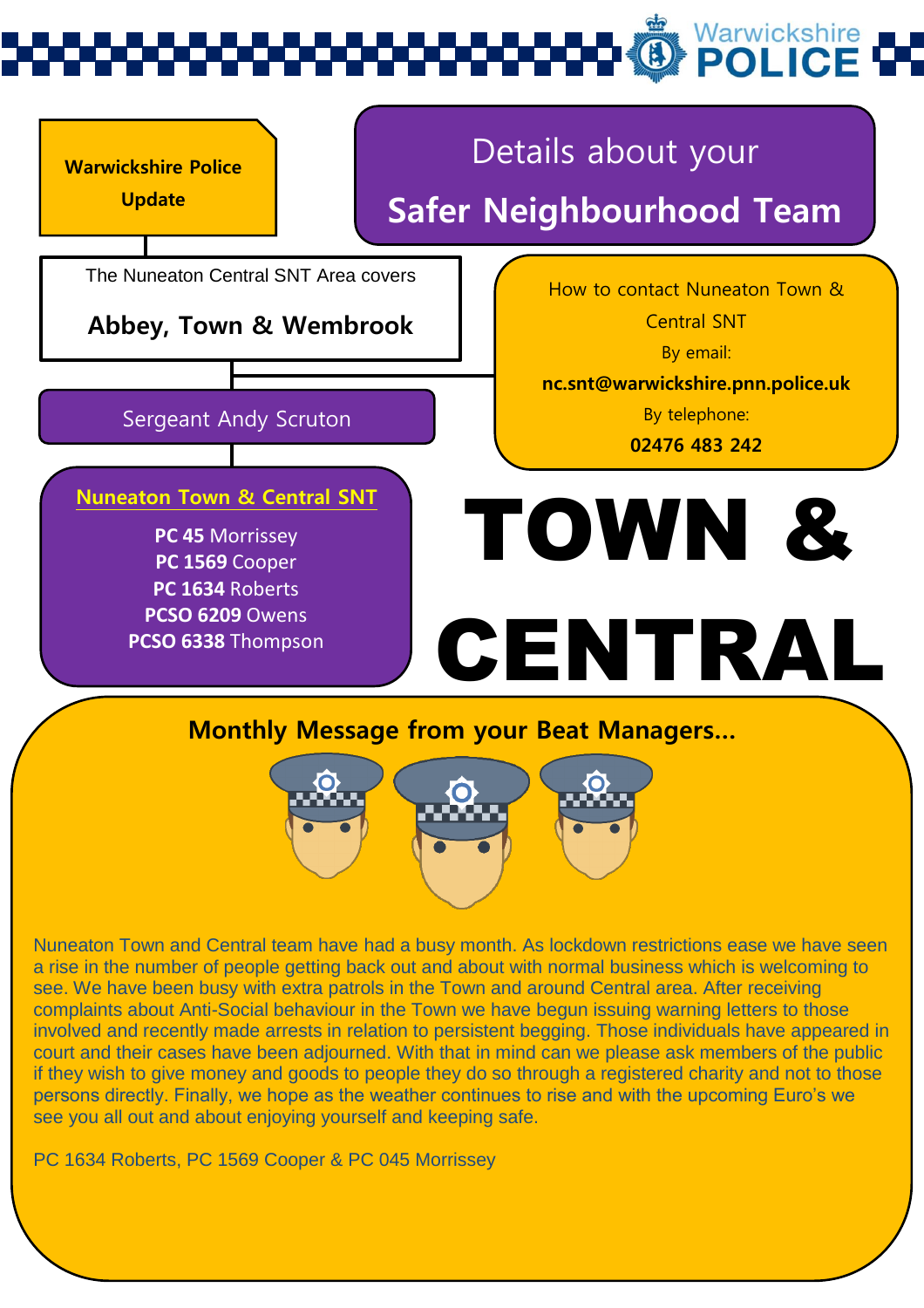# Warwickshire<br>**POLICE**

### **Warwickshire Police Update** The Nuneaton Central SNT Area covers **Abbey, Town & Wembrook** Details about your **Safer Neighbourhood Team** Sergeant Andy Scruton **PC 45** Morrissey **PC 1569** Cooper **PC 1634** Roberts **PCSO 6209** Owens **PCSO 6338** Thompson How to contact Nuneaton Town & Central SNT By email: **nc.snt@warwickshire.pnn.police.uk** By telephone: **02476 483 242 Nuneaton Town & Central SNT Monthly Message from your Beat Managers…** TOWN & CENTRAL



Nuneaton Town and Central team have had a busy month. As lockdown restrictions ease we have seen a rise in the number of people getting back out and about with normal business which is welcoming to see. We have been busy with extra patrols in the Town and around Central area. After receiving complaints about Anti-Social behaviour in the Town we have begun issuing warning letters to those involved and recently made arrests in relation to persistent begging. Those individuals have appeared in court and their cases have been adjourned. With that in mind can we please ask members of the public if they wish to give money and goods to people they do so through a registered charity and not to those persons directly. Finally, we hope as the weather continues to rise and with the upcoming Euro's we see you all out and about enjoying yourself and keeping safe.

PC 1634 Roberts, PC 1569 Cooper & PC 045 Morrissey